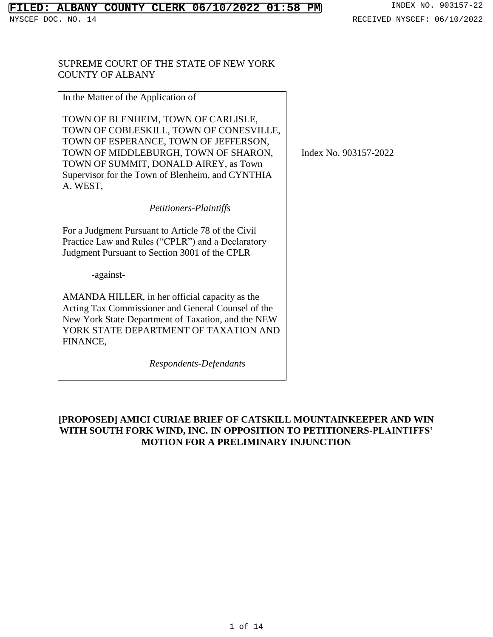### SUPREME COURT OF THE STATE OF NEW YORK COUNTY OF ALBANY

| In the Matter of the Application of                                                                                                                                                                                                                                      |   |
|--------------------------------------------------------------------------------------------------------------------------------------------------------------------------------------------------------------------------------------------------------------------------|---|
| TOWN OF BLENHEIM, TOWN OF CARLISLE,<br>TOWN OF COBLESKILL, TOWN OF CONESVILLE,<br>TOWN OF ESPERANCE, TOWN OF JEFFERSON,<br>TOWN OF MIDDLEBURGH, TOWN OF SHARON,<br>TOWN OF SUMMIT, DONALD AIREY, as Town<br>Supervisor for the Town of Blenheim, and CYNTHIA<br>A. WEST, | I |
| Petitioners-Plaintiffs                                                                                                                                                                                                                                                   |   |
| For a Judgment Pursuant to Article 78 of the Civil<br>Practice Law and Rules ("CPLR") and a Declaratory<br>Judgment Pursuant to Section 3001 of the CPLR                                                                                                                 |   |
| -against-                                                                                                                                                                                                                                                                |   |
| AMANDA HILLER, in her official capacity as the<br>Acting Tax Commissioner and General Counsel of the<br>New York State Department of Taxation, and the NEW<br>YORK STATE DEPARTMENT OF TAXATION AND<br>FINANCE,                                                          |   |
| Respondents-Defendants                                                                                                                                                                                                                                                   |   |

Index No. 903157-2022

# **[PROPOSED] AMICI CURIAE BRIEF OF CATSKILL MOUNTAINKEEPER AND WIN WITH SOUTH FORK WIND, INC. IN OPPOSITION TO PETITIONERS-PLAINTIFFS' MOTION FOR A PRELIMINARY INJUNCTION**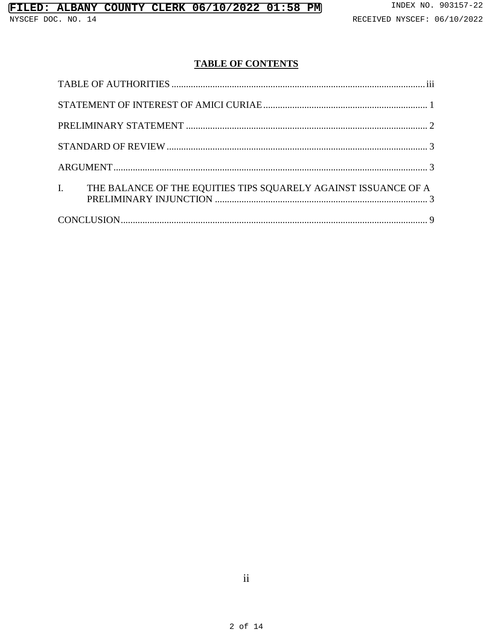NYSCEF DOC. NO. 14

# **TABLE OF CONTENTS**

| I. THE BALANCE OF THE EQUITIES TIPS SQUARELY AGAINST ISSUANCE OF A |  |
|--------------------------------------------------------------------|--|
|                                                                    |  |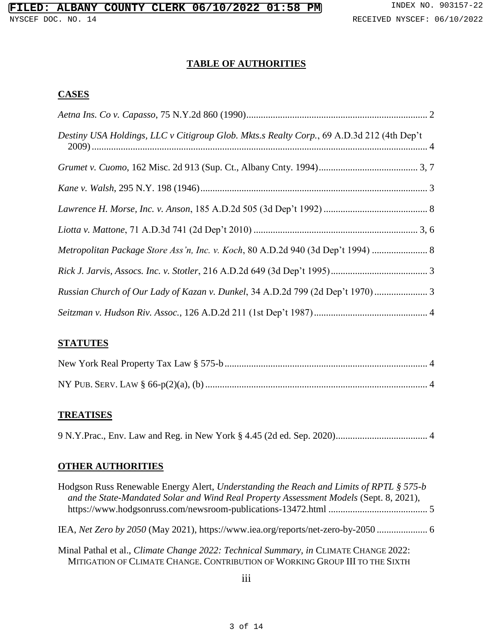## **TABLE OF AUTHORITIES**

## <span id="page-2-0"></span>**CASES**

| Destiny USA Holdings, LLC v Citigroup Glob. Mkts.s Realty Corp., 69 A.D.3d 212 (4th Dep't |
|-------------------------------------------------------------------------------------------|
|                                                                                           |
|                                                                                           |
|                                                                                           |
|                                                                                           |
| Metropolitan Package Store Ass'n, Inc. v. Koch, 80 A.D.2d 940 (3d Dep't 1994)             |
|                                                                                           |
| Russian Church of Our Lady of Kazan v. Dunkel, 34 A.D.2d 799 (2d Dep't 1970)              |
|                                                                                           |

## **STATUTES**

## **TREATISES**

9 N.Y.Prac., Env. Law and Reg. in New York § 4.45 (2d ed. Sep. 2020)...................................... 4

# **OTHER AUTHORITIES**

| Hodgson Russ Renewable Energy Alert, Understanding the Reach and Limits of RPTL § 575-b<br>and the State-Mandated Solar and Wind Real Property Assessment Models (Sept. 8, 2021),   |  |
|-------------------------------------------------------------------------------------------------------------------------------------------------------------------------------------|--|
| IEA, Net Zero by 2050 (May 2021), https://www.iea.org/reports/net-zero-by-2050                                                                                                      |  |
| Minal Pathal et al., <i>Climate Change 2022: Technical Summary</i> , <i>in</i> CLIMATE CHANGE 2022:<br>MITIGATION OF CLIMATE CHANGE. CONTRIBUTION OF WORKING GROUP III TO THE SIXTH |  |
| 111                                                                                                                                                                                 |  |

iii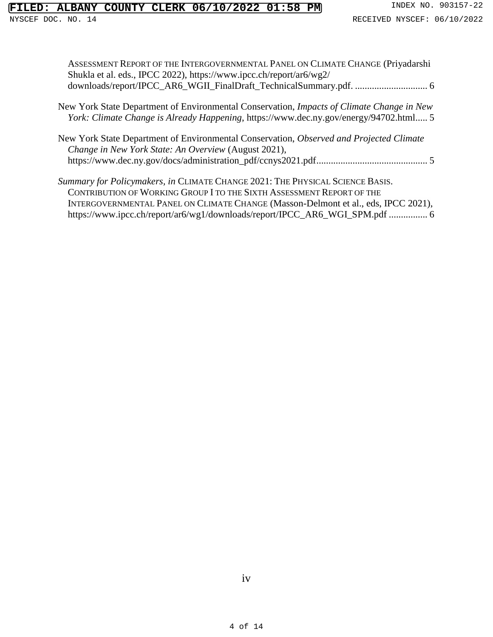## LED: ALBANY COUNTY CLERK 06/10/2022 01:58 PM INDEX NO. 903157-22

| ASSESSMENT REPORT OF THE INTERGOVERNMENTAL PANEL ON CLIMATE CHANGE (Priyadarshi |
|---------------------------------------------------------------------------------|
| Shukla et al. eds., IPCC 2022), https://www.ipcc.ch/report/ar6/wg2/             |
|                                                                                 |
|                                                                                 |

- New York State Department of Environmental Conservation, *Impacts of Climate Change in New York: Climate Change is Already Happening*, https://www.dec.ny.gov/energy/94702.html..... 5
- New York State Department of Environmental Conservation, *Observed and Projected Climate Change in New York State: An Overview* (August 2021), https://www.dec.ny.gov/docs/administration\_pdf/ccnys2021.pdf.............................................. 5
- *Summary for Policymakers, in* CLIMATE CHANGE 2021: THE PHYSICAL SCIENCE BASIS. CONTRIBUTION OF WORKING GROUP I TO THE SIXTH ASSESSMENT REPORT OF THE INTERGOVERNMENTAL PANEL ON CLIMATE CHANGE (Masson-Delmont et al., eds, IPCC 2021), https://www.ipcc.ch/report/ar6/wg1/downloads/report/IPCC\_AR6\_WGI\_SPM.pdf ................ 6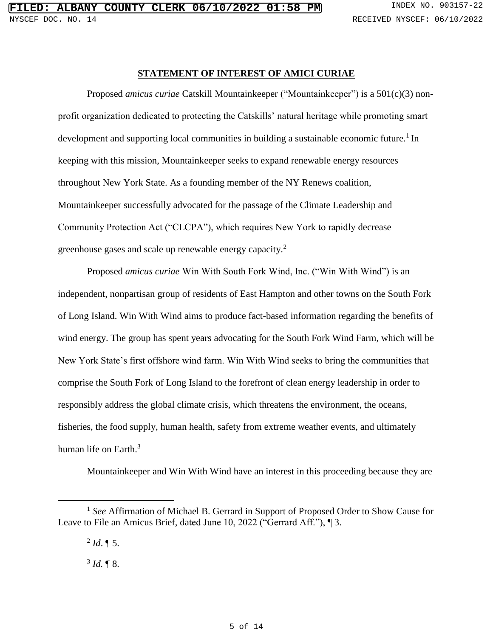#### **STATEMENT OF INTEREST OF AMICI CURIAE**

<span id="page-4-0"></span>Proposed *amicus curiae* Catskill Mountainkeeper ("Mountainkeeper") is a 501(c)(3) nonprofit organization dedicated to protecting the Catskills' natural heritage while promoting smart development and supporting local communities in building a sustainable economic future.<sup>1</sup> In keeping with this mission, Mountainkeeper seeks to expand renewable energy resources throughout New York State. As a founding member of the NY Renews coalition, Mountainkeeper successfully advocated for the passage of the Climate Leadership and Community Protection Act ("CLCPA"), which requires New York to rapidly decrease greenhouse gases and scale up renewable energy capacity.<sup>2</sup>

Proposed *amicus curiae* Win With South Fork Wind, Inc. ("Win With Wind") is an independent, nonpartisan group of residents of East Hampton and other towns on the South Fork of Long Island. Win With Wind aims to produce fact-based information regarding the benefits of wind energy. The group has spent years advocating for the South Fork Wind Farm, which will be New York State's first offshore wind farm. Win With Wind seeks to bring the communities that comprise the South Fork of Long Island to the forefront of clean energy leadership in order to responsibly address the global climate crisis, which threatens the environment, the oceans, fisheries, the food supply, human health, safety from extreme weather events, and ultimately human life on Earth.<sup>3</sup>

Mountainkeeper and Win With Wind have an interest in this proceeding because they are

l

 $3$  *Id.*  $\sqrt{\ }$  8.

<sup>&</sup>lt;sup>1</sup> See Affirmation of Michael B. Gerrard in Support of Proposed Order to Show Cause for Leave to File an Amicus Brief, dated June 10, 2022 ("Gerrard Aff."), ¶ 3.

 $^{2}$  *Id*.  $\P$  5.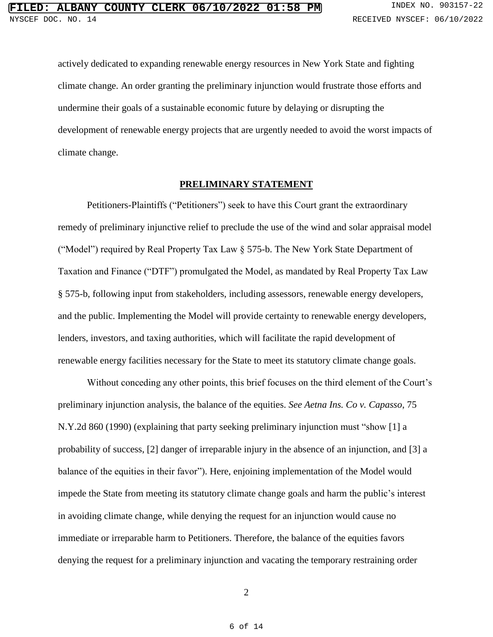actively dedicated to expanding renewable energy resources in New York State and fighting climate change. An order granting the preliminary injunction would frustrate those efforts and undermine their goals of a sustainable economic future by delaying or disrupting the development of renewable energy projects that are urgently needed to avoid the worst impacts of climate change.

#### **PRELIMINARY STATEMENT**

<span id="page-5-0"></span>Petitioners-Plaintiffs ("Petitioners") seek to have this Court grant the extraordinary remedy of preliminary injunctive relief to preclude the use of the wind and solar appraisal model ("Model") required by Real Property Tax Law § 575-b. The New York State Department of Taxation and Finance ("DTF") promulgated the Model, as mandated by Real Property Tax Law § 575-b, following input from stakeholders, including assessors, renewable energy developers, and the public. Implementing the Model will provide certainty to renewable energy developers, lenders, investors, and taxing authorities, which will facilitate the rapid development of renewable energy facilities necessary for the State to meet its statutory climate change goals.

Without conceding any other points, this brief focuses on the third element of the Court's preliminary injunction analysis, the balance of the equities. *See Aetna Ins. Co v. Capasso*, 75 N.Y.2d 860 (1990) (explaining that party seeking preliminary injunction must "show [1] a probability of success, [2] danger of irreparable injury in the absence of an injunction, and [3] a balance of the equities in their favor"). Here, enjoining implementation of the Model would impede the State from meeting its statutory climate change goals and harm the public's interest in avoiding climate change, while denying the request for an injunction would cause no immediate or irreparable harm to Petitioners. Therefore, the balance of the equities favors denying the request for a preliminary injunction and vacating the temporary restraining order

2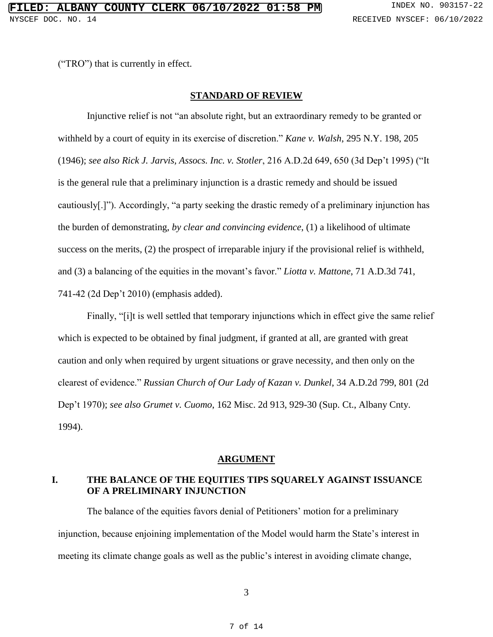<span id="page-6-0"></span>("TRO") that is currently in effect.

#### **STANDARD OF REVIEW**

Injunctive relief is not "an absolute right, but an extraordinary remedy to be granted or withheld by a court of equity in its exercise of discretion." *Kane v. Walsh*, 295 N.Y. 198, 205 (1946); *see also Rick J. Jarvis, Assocs. Inc. v. Stotler*, 216 A.D.2d 649, 650 (3d Dep't 1995) ("It is the general rule that a preliminary injunction is a drastic remedy and should be issued cautiously[.]"). Accordingly, "a party seeking the drastic remedy of a preliminary injunction has the burden of demonstrating, *by clear and convincing evidence*, (1) a likelihood of ultimate success on the merits, (2) the prospect of irreparable injury if the provisional relief is withheld, and (3) a balancing of the equities in the movant's favor." *Liotta v. Mattone*, 71 A.D.3d 741, 741-42 (2d Dep't 2010) (emphasis added).

Finally, "[i]t is well settled that temporary injunctions which in effect give the same relief which is expected to be obtained by final judgment, if granted at all, are granted with great caution and only when required by urgent situations or grave necessity, and then only on the clearest of evidence." *Russian Church of Our Lady of Kazan v. Dunkel*, 34 A.D.2d 799, 801 (2d Dep't 1970); *see also Grumet v. Cuomo*, 162 Misc. 2d 913, 929-30 (Sup. Ct., Albany Cnty. 1994).

#### **ARGUMENT**

### <span id="page-6-2"></span><span id="page-6-1"></span>**I. THE BALANCE OF THE EQUITIES TIPS SQUARELY AGAINST ISSUANCE OF A PRELIMINARY INJUNCTION**

The balance of the equities favors denial of Petitioners' motion for a preliminary injunction, because enjoining implementation of the Model would harm the State's interest in meeting its climate change goals as well as the public's interest in avoiding climate change,

3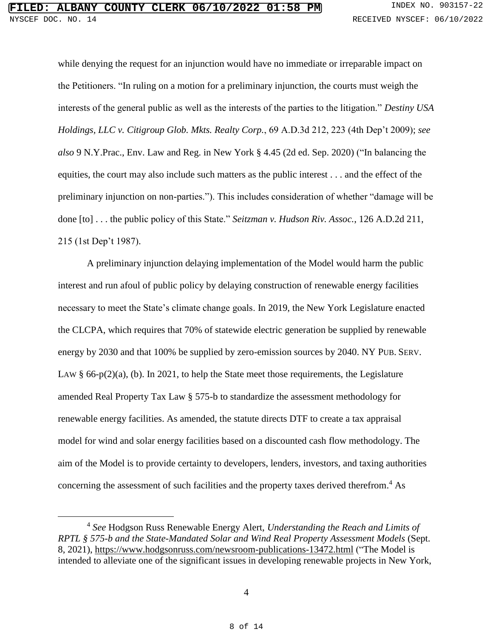while denying the request for an injunction would have no immediate or irreparable impact on the Petitioners. "In ruling on a motion for a preliminary injunction, the courts must weigh the interests of the general public as well as the interests of the parties to the litigation." *Destiny USA Holdings, LLC v. Citigroup Glob. Mkts. Realty Corp.*, 69 A.D.3d 212, 223 (4th Dep't 2009); *see also* 9 N.Y.Prac., Env. Law and Reg. in New York § 4.45 (2d ed. Sep. 2020) ("In balancing the equities, the court may also include such matters as the public interest . . . and the effect of the preliminary injunction on non-parties."). This includes consideration of whether "damage will be done [to] . . . the public policy of this State." *Seitzman v. Hudson Riv. Assoc.*, 126 A.D.2d 211, 215 (1st Dep't 1987).

A preliminary injunction delaying implementation of the Model would harm the public interest and run afoul of public policy by delaying construction of renewable energy facilities necessary to meet the State's climate change goals. In 2019, the New York Legislature enacted the CLCPA, which requires that 70% of statewide electric generation be supplied by renewable energy by 2030 and that 100% be supplied by zero-emission sources by 2040. NY PUB. SERV. LAW § 66-p(2)(a), (b). In 2021, to help the State meet those requirements, the Legislature amended Real Property Tax Law § 575-b to standardize the assessment methodology for renewable energy facilities. As amended, the statute directs DTF to create a tax appraisal model for wind and solar energy facilities based on a discounted cash flow methodology. The aim of the Model is to provide certainty to developers, lenders, investors, and taxing authorities concerning the assessment of such facilities and the property taxes derived therefrom. <sup>4</sup> As

 $\overline{a}$ 

<sup>4</sup> *See* Hodgson Russ Renewable Energy Alert, *Understanding the Reach and Limits of RPTL § 575-b and the State-Mandated Solar and Wind Real Property Assessment Models* (Sept. 8, 2021),<https://www.hodgsonruss.com/newsroom-publications-13472.html> ("The Model is intended to alleviate one of the significant issues in developing renewable projects in New York,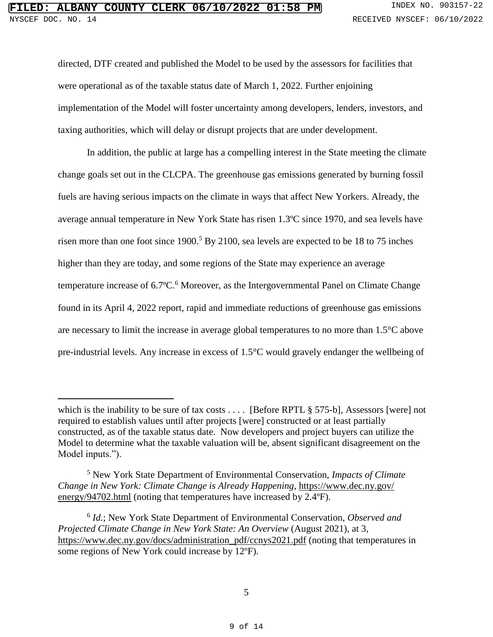l

directed, DTF created and published the Model to be used by the assessors for facilities that were operational as of the taxable status date of March 1, 2022. Further enjoining implementation of the Model will foster uncertainty among developers, lenders, investors, and taxing authorities, which will delay or disrupt projects that are under development.

In addition, the public at large has a compelling interest in the State meeting the climate change goals set out in the CLCPA. The greenhouse gas emissions generated by burning fossil fuels are having serious impacts on the climate in ways that affect New Yorkers. Already, the average annual temperature in New York State has risen 1.3ºC since 1970, and sea levels have risen more than one foot since  $1900<sup>5</sup>$  By 2100, sea levels are expected to be 18 to 75 inches higher than they are today, and some regions of the State may experience an average temperature increase of 6.7°C.<sup>6</sup> Moreover, as the Intergovernmental Panel on Climate Change found in its April 4, 2022 report, rapid and immediate reductions of greenhouse gas emissions are necessary to limit the increase in average global temperatures to no more than 1.5°C above pre-industrial levels. Any increase in excess of 1.5°C would gravely endanger the wellbeing of

which is the inability to be sure of tax costs  $\dots$  [Before RPTL § 575-b], Assessors [were] not required to establish values until after projects [were] constructed or at least partially constructed, as of the taxable status date. Now developers and project buyers can utilize the Model to determine what the taxable valuation will be, absent significant disagreement on the Model inputs.").

<sup>5</sup> New York State Department of Environmental Conservation, *Impacts of Climate Change in New York: Climate Change is Already Happening*, [https://www.dec.ny.gov/](https://www.dec.ny.gov/energy/94702.html) [energy/94702.html](https://www.dec.ny.gov/energy/94702.html) (noting that temperatures have increased by 2.4°F).

<sup>6</sup> *Id.*; New York State Department of Environmental Conservation, *Observed and Projected Climate Change in New York State: An Overview* (August 2021), at 3, [https://www.dec.ny.gov/docs/administration\\_pdf/ccnys2021.pdf](https://www.dec.ny.gov/docs/administration_pdf/ccnys2021.pdf) (noting that temperatures in some regions of New York could increase by 12°F).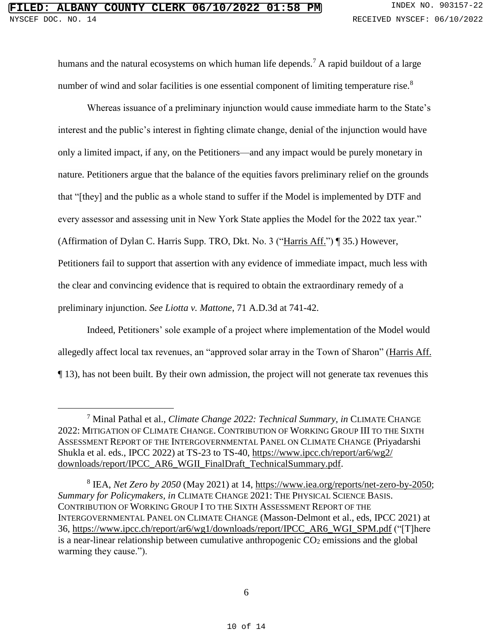l

humans and the natural ecosystems on which human life depends.<sup>7</sup> A rapid buildout of a large number of wind and solar facilities is one essential component of limiting temperature rise.<sup>8</sup>

Whereas issuance of a preliminary injunction would cause immediate harm to the State's interest and the public's interest in fighting climate change, denial of the injunction would have only a limited impact, if any, on the Petitioners—and any impact would be purely monetary in nature. Petitioners argue that the balance of the equities favors preliminary relief on the grounds that "[they] and the public as a whole stand to suffer if the Model is implemented by DTF and every assessor and assessing unit in New York State applies the Model for the 2022 tax year." (Affirmation of Dylan C. Harris Supp. TRO, Dkt. No. 3 (["Harris Aff."](https://iapps.courts.state.ny.us/nyscef/ViewDocument?docIndex=B118f_PLUS_f1xSap9nOViLcoJw==)) ¶ 35.) However, Petitioners fail to support that assertion with any evidence of immediate impact, much less with the clear and convincing evidence that is required to obtain the extraordinary remedy of a preliminary injunction. *See Liotta v. Mattone*, 71 A.D.3d at 741-42.

Indeed, Petitioners' sole example of a project where implementation of the Model would allegedly affect local tax revenues, an "approved solar array in the Town of Sharon" [\(Harris Aff.](https://iapps.courts.state.ny.us/nyscef/ViewDocument?docIndex=B118f_PLUS_f1xSap9nOViLcoJw==) ¶ 13), has not been built. By their own admission, the project will not generate tax revenues this

<sup>7</sup> Minal Pathal et al., *Climate Change 2022: Technical Summary, in* CLIMATE CHANGE 2022: MITIGATION OF CLIMATE CHANGE. CONTRIBUTION OF WORKING GROUP III TO THE SIXTH ASSESSMENT REPORT OF THE INTERGOVERNMENTAL PANEL ON CLIMATE CHANGE (Priyadarshi Shukla et al. eds., IPCC 2022) at TS-23 to TS-40, [https://www.ipcc.ch/report/ar6/wg2/](https://www.ipcc.ch/report/ar6/wg2/‌downloads/report/IPCC_AR6_WGII_FinalDraft_TechnicalSummary.pdf) [downloads/report/IPCC\\_AR6\\_WGII\\_FinalDraft\\_TechnicalSummary.pdf.](https://www.ipcc.ch/report/ar6/wg2/‌downloads/report/IPCC_AR6_WGII_FinalDraft_TechnicalSummary.pdf)

<sup>8</sup> IEA, *Net Zero by 2050* (May 2021) at 14, [https://www.iea.org/reports/net-zero-by-2050;](https://www.iea.org/reports/net-zero-by-2050) *Summary for Policymakers, in* CLIMATE CHANGE 2021: THE PHYSICAL SCIENCE BASIS. CONTRIBUTION OF WORKING GROUP I TO THE SIXTH ASSESSMENT REPORT OF THE INTERGOVERNMENTAL PANEL ON CLIMATE CHANGE (Masson-Delmont et al., eds, IPCC 2021) at 36, [https://www.ipcc.ch/report/ar6/wg1/downloads/report/IPCC\\_AR6\\_WGI\\_SPM.pdf](https://www.ipcc.ch/report/ar6/wg1/downloads/report/IPCC_AR6_WGI_SPM.pdf) ("[T]here is a near-linear relationship between cumulative anthropogenic  $CO<sub>2</sub>$  emissions and the global warming they cause.").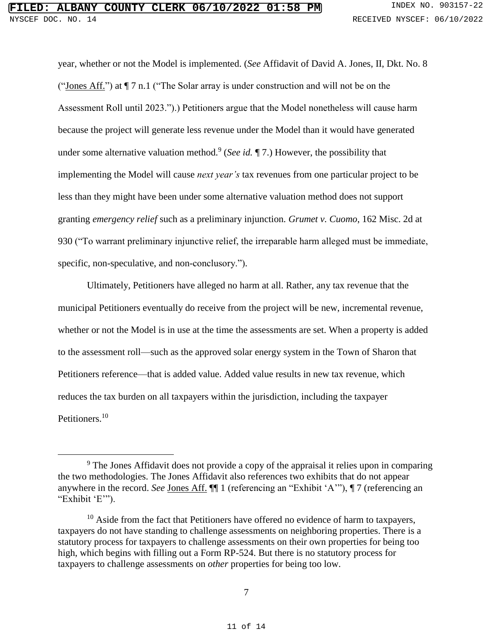year, whether or not the Model is implemented. (*See* Affidavit of David A. Jones, II, Dkt. No. 8 (["Jones Aff."](https://iapps.courts.state.ny.us/nyscef/ViewDocument?docIndex=P_PLUS_pNRZVGqckaD52y9SciUw==)) at  $\P$  7 n.1 ("The Solar array is under construction and will not be on the Assessment Roll until 2023.").) Petitioners argue that the Model nonetheless will cause harm because the project will generate less revenue under the Model than it would have generated under some alternative valuation method.<sup>9</sup> (*See id.* 1, 7.) However, the possibility that implementing the Model will cause *next year's* tax revenues from one particular project to be less than they might have been under some alternative valuation method does not support granting *emergency relief* such as a preliminary injunction. *Grumet v. Cuomo*, 162 Misc. 2d at 930 ("To warrant preliminary injunctive relief, the irreparable harm alleged must be immediate, specific, non-speculative, and non-conclusory.").

Ultimately, Petitioners have alleged no harm at all. Rather, any tax revenue that the municipal Petitioners eventually do receive from the project will be new, incremental revenue, whether or not the Model is in use at the time the assessments are set. When a property is added to the assessment roll—such as the approved solar energy system in the Town of Sharon that Petitioners reference—that is added value. Added value results in new tax revenue, which reduces the tax burden on all taxpayers within the jurisdiction, including the taxpayer Petitioners.<sup>10</sup>

l

<sup>&</sup>lt;sup>9</sup> The Jones Affidavit does not provide a copy of the appraisal it relies upon in comparing the two methodologies. The Jones Affidavit also references two exhibits that do not appear anywhere in the record. *See* [Jones Aff.](https://iapps.courts.state.ny.us/nyscef/ViewDocument?docIndex=P_PLUS_pNRZVGqckaD52y9SciUw==) ¶¶ 1 (referencing an "Exhibit 'A'"), ¶ 7 (referencing an "Exhibit 'E'").

 $10$  Aside from the fact that Petitioners have offered no evidence of harm to taxpayers, taxpayers do not have standing to challenge assessments on neighboring properties. There is a statutory process for taxpayers to challenge assessments on their own properties for being too high, which begins with filling out a Form RP-524. But there is no statutory process for taxpayers to challenge assessments on *other* properties for being too low.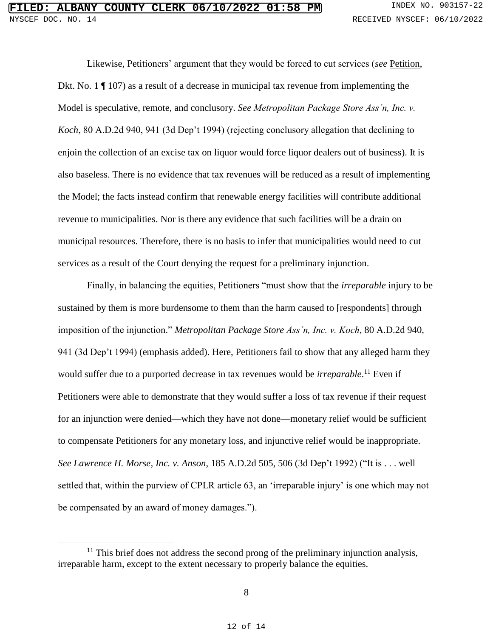Likewise, Petitioners' argument that they would be forced to cut services (*see* [Petition,](https://iapps.courts.state.ny.us/nyscef/ViewDocument?docIndex=ljFFYeVLOeLooegINfis5Q==) Dkt. No. 1 ¶ 107) as a result of a decrease in municipal tax revenue from implementing the Model is speculative, remote, and conclusory. *See Metropolitan Package Store Ass'n, Inc. v. Koch*, 80 A.D.2d 940, 941 (3d Dep't 1994) (rejecting conclusory allegation that declining to enjoin the collection of an excise tax on liquor would force liquor dealers out of business). It is also baseless. There is no evidence that tax revenues will be reduced as a result of implementing the Model; the facts instead confirm that renewable energy facilities will contribute additional revenue to municipalities. Nor is there any evidence that such facilities will be a drain on municipal resources. Therefore, there is no basis to infer that municipalities would need to cut services as a result of the Court denying the request for a preliminary injunction.

Finally, in balancing the equities, Petitioners "must show that the *irreparable* injury to be sustained by them is more burdensome to them than the harm caused to [respondents] through imposition of the injunction." *Metropolitan Package Store Ass'n, Inc. v. Koch*, 80 A.D.2d 940, 941 (3d Dep't 1994) (emphasis added). Here, Petitioners fail to show that any alleged harm they would suffer due to a purported decrease in tax revenues would be *irreparable*. <sup>11</sup> Even if Petitioners were able to demonstrate that they would suffer a loss of tax revenue if their request for an injunction were denied—which they have not done—monetary relief would be sufficient to compensate Petitioners for any monetary loss, and injunctive relief would be inappropriate. *See Lawrence H. Morse, Inc. v. Anson*, 185 A.D.2d 505, 506 (3d Dep't 1992) ("It is . . . well settled that, within the purview of CPLR article 63, an 'irreparable injury' is one which may not be compensated by an award of money damages.").

l

 $11$  This brief does not address the second prong of the preliminary injunction analysis, irreparable harm, except to the extent necessary to properly balance the equities.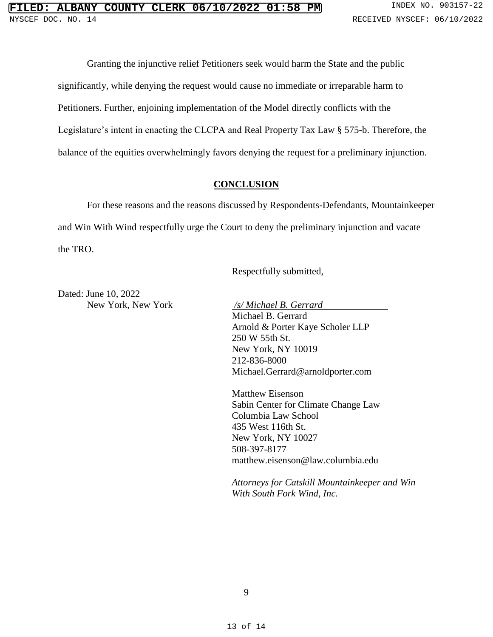Granting the injunctive relief Petitioners seek would harm the State and the public significantly, while denying the request would cause no immediate or irreparable harm to Petitioners. Further, enjoining implementation of the Model directly conflicts with the Legislature's intent in enacting the CLCPA and Real Property Tax Law § 575-b. Therefore, the balance of the equities overwhelmingly favors denying the request for a preliminary injunction.

#### **CONCLUSION**

<span id="page-12-0"></span>For these reasons and the reasons discussed by Respondents-Defendants, Mountainkeeper and Win With Wind respectfully urge the Court to deny the preliminary injunction and vacate the TRO.

Respectfully submitted,

Dated: June 10, 2022 New York, New York */s/ Michael B. Gerrard*

Michael B. Gerrard Arnold & Porter Kaye Scholer LLP 250 W 55th St. New York, NY 10019 212-836-8000 Michael.Gerrard@arnoldporter.com

Matthew Eisenson Sabin Center for Climate Change Law Columbia Law School 435 West 116th St. New York, NY 10027 508-397-8177 matthew.eisenson@law.columbia.edu

*Attorneys for Catskill Mountainkeeper and Win With South Fork Wind, Inc.*